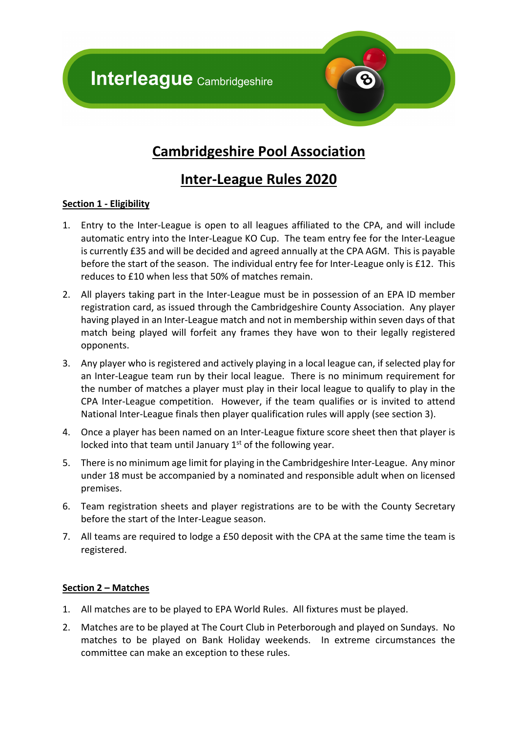**Interleague Cambridgeshire** 



# **Cambridgeshire Pool Association**

## **Inter-League Rules 2020**

## **Section 1 - Eligibility**

- 1. Entry to the Inter-League is open to all leagues affiliated to the CPA, and will include automatic entry into the Inter-League KO Cup. The team entry fee for the Inter-League is currently £35 and will be decided and agreed annually at the CPA AGM. This is payable before the start of the season. The individual entry fee for Inter-League only is £12. This reduces to £10 when less that 50% of matches remain.
- 2. All players taking part in the Inter-League must be in possession of an EPA ID member registration card, as issued through the Cambridgeshire County Association. Any player having played in an Inter-League match and not in membership within seven days of that match being played will forfeit any frames they have won to their legally registered opponents.
- 3. Any player who is registered and actively playing in a local league can, if selected play for an Inter-League team run by their local league. There is no minimum requirement for the number of matches a player must play in their local league to qualify to play in the CPA Inter-League competition. However, if the team qualifies or is invited to attend National Inter-League finals then player qualification rules will apply (see section 3).
- 4. Once a player has been named on an Inter-League fixture score sheet then that player is locked into that team until January  $1<sup>st</sup>$  of the following year.
- 5. There is no minimum age limit for playing in the Cambridgeshire Inter-League. Any minor under 18 must be accompanied by a nominated and responsible adult when on licensed premises.
- 6. Team registration sheets and player registrations are to be with the County Secretary before the start of the Inter-League season.
- 7. All teams are required to lodge a £50 deposit with the CPA at the same time the team is registered.

## **Section 2 – Matches**

- 1. All matches are to be played to EPA World Rules. All fixtures must be played.
- 2. Matches are to be played at The Court Club in Peterborough and played on Sundays. No matches to be played on Bank Holiday weekends. In extreme circumstances the committee can make an exception to these rules.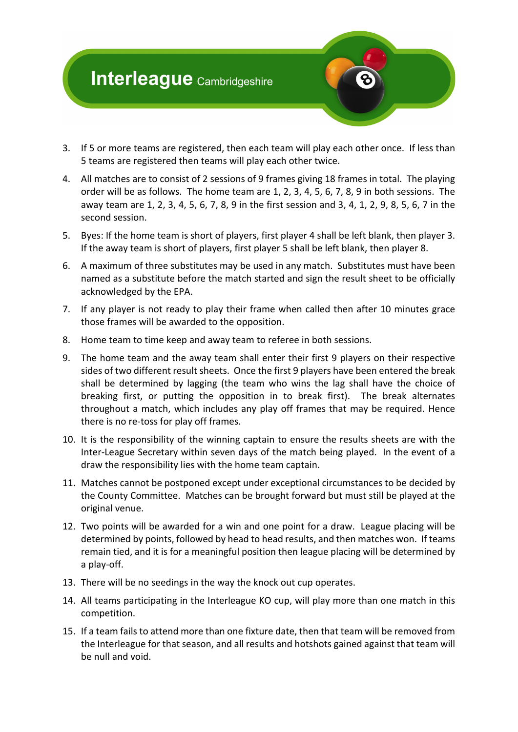# **Interleague Cambridgeshire**

- 3. If 5 or more teams are registered, then each team will play each other once. If less than 5 teams are registered then teams will play each other twice.
- 4. All matches are to consist of 2 sessions of 9 frames giving 18 frames in total. The playing order will be as follows. The home team are 1, 2, 3, 4, 5, 6, 7, 8, 9 in both sessions. The away team are 1, 2, 3, 4, 5, 6, 7, 8, 9 in the first session and 3, 4, 1, 2, 9, 8, 5, 6, 7 in the second session.
- 5. Byes: If the home team is short of players, first player 4 shall be left blank, then player 3. If the away team is short of players, first player 5 shall be left blank, then player 8.
- 6. A maximum of three substitutes may be used in any match. Substitutes must have been named as a substitute before the match started and sign the result sheet to be officially acknowledged by the EPA.
- 7. If any player is not ready to play their frame when called then after 10 minutes grace those frames will be awarded to the opposition.
- 8. Home team to time keep and away team to referee in both sessions.
- 9. The home team and the away team shall enter their first 9 players on their respective sides of two different result sheets. Once the first 9 players have been entered the break shall be determined by lagging (the team who wins the lag shall have the choice of breaking first, or putting the opposition in to break first). The break alternates throughout a match, which includes any play off frames that may be required. Hence there is no re-toss for play off frames.
- 10. It is the responsibility of the winning captain to ensure the results sheets are with the Inter-League Secretary within seven days of the match being played. In the event of a draw the responsibility lies with the home team captain.
- 11. Matches cannot be postponed except under exceptional circumstances to be decided by the County Committee. Matches can be brought forward but must still be played at the original venue.
- 12. Two points will be awarded for a win and one point for a draw. League placing will be determined by points, followed by head to head results, and then matches won. If teams remain tied, and it is for a meaningful position then league placing will be determined by a play-off.
- 13. There will be no seedings in the way the knock out cup operates.
- 14. All teams participating in the Interleague KO cup, will play more than one match in this competition.
- 15. If a team fails to attend more than one fixture date, then that team will be removed from the Interleague for that season, and all results and hotshots gained against that team will be null and void.